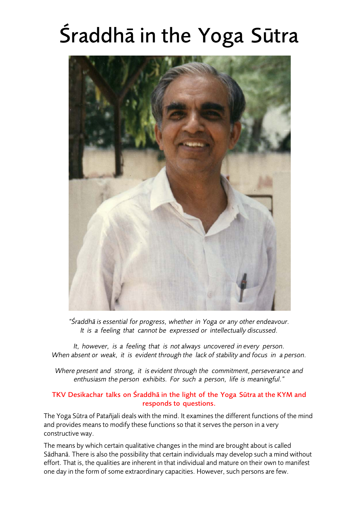# Śraddhā in the Yoga Sūtra



*"Śraddhā is essential for progress, whether in Yoga or any other endeavour. It is a feeling that cannot be expressed or intellectually discussed.*

*It, however, is a feeling that is not always uncovered in every person. When absent or weak, it is evident through the lack of stability and focus in a person.*

*Where present and strong, it is evident through the commitment, perseverance and enthusiasm the person exhibits. For such a person, life is meaningful."*

# TKV Desikachar talks on Śraddhā in the light of the Yoga Sūtra at the KYM and responds to questions.

The Yoga Sūtra of Patañjali deals with the mind. It examines the different functions of the mind and provides means to modify these functions so that it serves the person in a very constructive way.

The means by which certain qualitative changes in the mind are brought about is called Sādhanā. There is also the possibility that certain individuals may develop such a mind without effort. That is, the qualities are inherent in that individual and mature on their own to manifest one day in the form of some extraordinary capacities. However, such persons are few.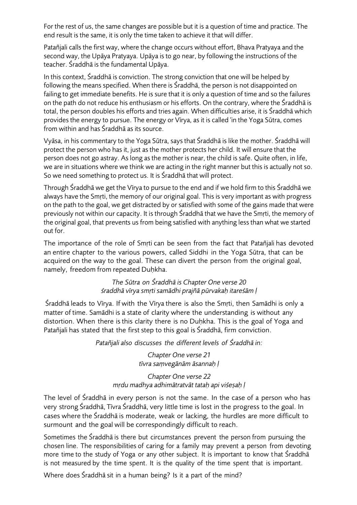For the rest of us, the same changes are possible but it is a question of time and practice. The end result is the same, it is only the time taken to achieve it that will differ.

Patañjali calls the first way, where the change occurs without effort, Bhava Pratyaya and the second way, the Upāya Pratyaya. Upāya is to go near, by following the instructions of the teacher. Śraddhā is the fundamental Upāya.

In this context, Śraddhā is conviction. The strong conviction that one will be helped by following the means specified. When there is Śraddhā, the person is not disappointed on failing to get immediate benefits. He is sure that it is only a question of time and so the failures on the path do not reduce his enthusiasm or his efforts. On the contrary, where the Śraddhā is total, the person doubles his efforts and tries again. When difficulties arise, it is Śraddhā which provides the energy to pursue. The energy or Vīrya, as it is called 'in the Yoga Sūtra, comes from within and has Śraddhā as its source.

Vyāsa, in his commentary to the Yoga Sūtra, says that Śraddhā is like the mother. Śraddhā will protect the person who has it, just as the mother protects her child. It will ensure that the person does not go astray. As long as the mother is near, the child is safe. Quite often, in life, we are in situations where we think we are acting in the right manner but this is actually not so. So we need something to protect us. It is Śraddhā that will protect.

Through Śraddhā we get the Vīrya to pursue to the end and if we hold firm to this Śraddhā we always have the Smṛti, the memory of our original goal. This is very important as with progress on the path to the goal, we get distracted by or satisfied with some of the gains made that were previously not within our capacity. It is through Śraddhā that we have the Smṛti, the memory of the original goal, that prevents us from being satisfied with anything less than what we started out for.

The importance of the role of Smṛti can be seen from the fact that Patañjali has devoted an entire chapter to the various powers, called Siddhi in the Yoga Sūtra, that can be acquired on the way to the goal. These can divert the person from the original goal, namely, freedom from repeated Duḥkha.

> *The Sūtra on Śraddhā is Chapter One verse 20 śraddhā vīrya smṛti samādhi prajñā pūrvakaḥ itareśām ḷ*

Śraddhā leads to Vīrya. If with the Vīrya there is also the Smṛti, then Samādhi is only a matter of time. Samādhi is a state of clarity where the understanding is without any distortion. When there is this clarity there is no Duḥkha. This is the goal of Yoga and Patañjali has stated that the first step to this goal is Śraddhā, firm conviction.

*Patañjali also discusses the different levels of Śraddhā in:*

*Chapter One verse 21 tīvra saṃvegānām āsannaḥ ḷ*

*Chapter One verse 22 mṛdu madhya adhimātratvāt tataḥ api viśeṣaḥ ḷ*

The level of Śraddhā in every person is not the same. In the case of a person who has very strong Śraddhā, Tīvra Śraddhā, very little time is lost in the progress to the goal. In cases where the Śraddhā is moderate, weak or lacking, the hurdles are more difficult to surmount and the goal will be correspondingly difficult to reach.

Sometimes the Śraddhā is there but circumstances prevent the person from pursuing the chosen line. The responsibilities of caring for a family may prevent a person from devoting more time to the study of Yoga or any other subject. It is important to know that Śraddhā is not measured by the time spent. It is the quality of the time spent that is important.

Where does Śraddhā sit in a human being? Is it a part of the mind?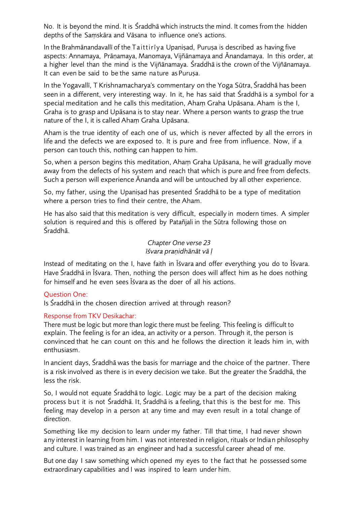No. It is beyond the mind. It is Śraddhā which instructs the mind. It comes from the hidden depths of the Saṃskāra and Vāsana to influence one's actions.

In the Brahmānandavallī of the Taittirīy a Upaniṣad, Puruṣa is described as having five aspects: Annamaya, Prāṇamaya, Manomaya, Vijñānamaya and Ānandamaya. In this order, at a higher level than the mind is the Vijñānamaya. Śraddhā is the crown of the Vijñānamaya. It can even be said to be the same na ture as Puruṣa.

In the Yogavallī, T Krishnamacharya's commentary on the Yoga Sūtra, Śraddhā has been seen in a different, very interesting way. In it, he has said that Śraddhā is a symbol for a special meditation and he calls this meditation, Aham Graha Upāsana. Aham is the I, Graha is to grasp and Upāsana is to stay near. Where a person wants to grasp the true nature of the I, it is called Ahaṃ Graha Upāsana.

Aham is the true identity of each one of us, which is never affected by all the errors in life and the defects we are exposed to. It is pure and free from influence. Now, if a person can touch this, nothing can happen to him.

So, when a person begins this meditation, Ahaṃ Graha Upāsana, he will gradually move away from the defects of his system and reach that which is pure and free from defects. Such a person will experience Ānanda and will be untouched by all other experience.

So, my father, using the Upaniṣad has presented Śraddhā to be a type of meditation where a person tries to find their centre, the Aham.

He has also said that this meditation is very difficult, especially in modern times. A simpler solution is required and this is offered by Patañjali in the Sūtra following those on Śraddhā.

#### *Chapter One verse 23 īśvara praṇidhānāt vā ḷ*

Instead of meditating on the I, have faith in Īśvara and offer everything you do to Īśvara. Have Śraddhā in Īśvara. Then, nothing the person does will affect him as he does nothing for himself and he even sees Īśvara as the doer of all his actions.

# Question One:

Is Śraddhā in the chosen direction arrived at through reason?

# Response from TKV Desikachar:

There must be logic but more than logic there must be feeling. This feeling is difficult to explain. The feeling is for an idea, an activity or a person. Through it, the person is convinced that he can count on this and he follows the direction it leads him in, with enthusiasm.

In ancient days, Śraddhā was the basis for marriage and the choice of the partner. There is a risk involved as there is in every decision we take. But the greater the Śraddhā, the less the risk.

So, I would not equate Śraddhā to logic. Logic may be a part of the decision making process but it is not Śraddhā. It, Śraddhā is a feeling, that this is the best for me. This feeling may develop in a person at any time and may even result in a total change of direction.

Something like my decision to learn under my father. Till that time, I had never shown any interest in learning from him. I was not interested in religion, rituals or Indian philosophy and culture. I was trained as an engineer and had a successful career ahead of me.

But one day I saw something which opened my eyes to t he fact that he possessed some extraordinary capabilities and I was inspired to learn under him.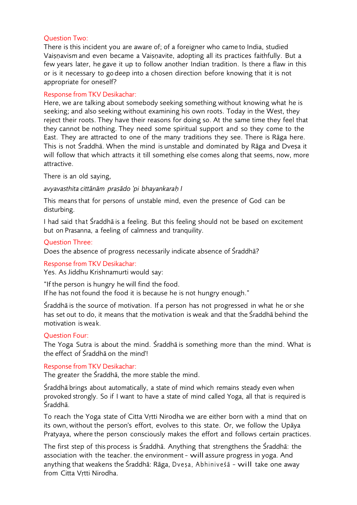# Question Two:

There is this incident you are aware of; of a foreigner who came to India, studied Vaiṣṇavism and even became a Vaiṣṇavite, adopting all its practices faithfully. But a few years later, he gave it up to follow another Indian tradition. Is there a flaw in this or is it necessary to go deep into a chosen direction before knowing that it is not appropriate for oneself?

#### Response from TKV Desikachar:

Here, we are talking about somebody seeking something without knowing what he is seeking; and also seeking without examining his own roots. Today in the West, they reject their roots. They have their reasons for doing so. At the same time they feel that they cannot be nothing. They need some spiritual support and so they come to the East. They are attracted to one of the many traditions they see. There is Rāga here. This is not Śraddhā. When the mind is unstable and dominated by Rāga and Dveṣa it will follow that which attracts it till something else comes along that seems, now, more attractive.

There is an old saying,

#### *avyavasthita cittānām prasādo 'pi bhayankaraḥ I*

This means that for persons of unstable mind, even the presence of God can be disturbing.

I had said that Śraddhā is a feeling. But this feeling should not be based on excitement but on Prasanna, a feeling of calmness and tranquility.

#### Question Three:

Does the absence of progress necessarily indicate absence of Śraddhā?

#### Response from TKV Desikachar:

Yes. As Jiddhu Krishnamurti would say:

"If the person is hungry he will find the food. If he has not found the food it is because he is not hungry enough."

Śraddhā is the source of motivation. If a person has not progressed in what he or she has set out to do, it means that the motivation is weak and that the Śraddhā behind the motivation is wea k.

# Question Four:

The Yoga Sutra is about the mind. Śraddhā is something more than the mind. What is the effect of Śraddhā on the mind'!

# Response from TKV Desikachar:

The greater the Śraddhā, the more stable the mind.

Śraddhā brings about automatically, a state of mind which remains steady even when provoked strongly. So if I want to have a state of mind called Yoga, all that is required is Śraddhā.

To reach the Yoga state of Citta Vṛtti Nirodha we are either born with a mind that on its own, without the person's effort, evolves to this state. Or, we follow the Upāya Pratyaya, where the person consciously makes the effort and follows certain practices.

The first step of this process is Śraddhā. Anything that strengthens the Śraddhā: the association with the teacher. the environment - will assure progress in yoga. And anything that weakens the Śraddhā: Rāga, Dvesa, Abhiniveśā - will take one away from Citta Vṛtti Nirodha.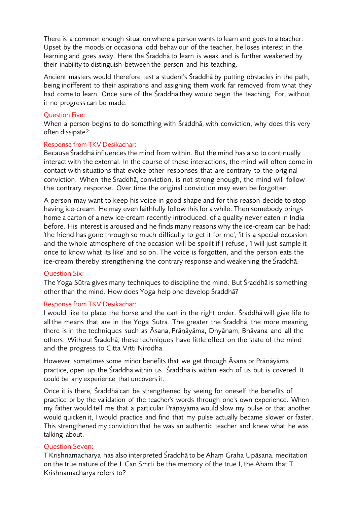There is a common enough situation where a person wants to learn and goes to a teacher. Upset by the moods or occasional odd behaviour of the teacher, he loses interest in the learning and goes away. Here the Śraddhā to learn is weak and is further weakened by their inability to distinguish between the person and his teaching.

Ancient masters would therefore test a student's Śraddhā by putting obstacles in the path, being indifferent to their aspirations and assigning them work far removed from what they had come to learn. Once sure of the Śraddhā they would begin the teaching. For, without it no progress can be made.

#### Question Five:

When a person begins to do something with Śraddhā, with conviction, why does this very often dissipate?

# Response from TKV Desikachar:

Because Śraddhā influences the mind from within. But the mind has also to continually interact with the external. In the course of these interactions, the mind will often come in contact with situations that evoke other responses that are contrary to the original conviction. When the Śraddhā, conviction, is not strong enough, the mind will follow the contrary response. Over time the original conviction may even be forgotten.

A person may want to keep his voice in good shape and for this reason decide to stop having ice-cream. He may even faithfully follow this for a while. Then somebody brings home a carton of a new ice-cream recently introduced, of a quality never eaten in India before. His interest is aroused and he finds many reasons why the ice-cream can be had: 'the friend has gone through so much difficulty to get it for rne', 'it is a special occasion and the whole atmosphere of the occasion will be spoilt if I refuse', 'I will just sample it once to know what its like' and so on. The voice is forgotten, and the person eats the ice-cream thereby strengthening the contrary response and weakening the Śraddhā.

# Question Six:

The Yoga Sūtra gives many techniques to discipline the mind. But Śraddhā is something other than the mind. How does Yoga help one develop Śraddhā?

# Response from TKV Desikachar:

I would like to place the horse and the cart in the right order. Śraddhā will give life to all the means that are in the Yoga Sutra. The greater the Śraddhā, the more meaning there is in the techniques such as Āsana, Prāṇāyāma, Dhyānam, Bhāvana and all the others. Without Śraddhā, these techniques have little effect on the state of the mind and the progress to Citta Vṛtti Nirodha.

However, sometimes some minor benefits that we get through Āsana or Prāṇāyāma practice, open up the Śraddhā within us. Śraddhā is within each of us but is covered. It could be any experience that uncovers it.

Once it is there, Śraddhā can be strengthened by seeing for oneself the benefits of practice or by the validation of the teacher's words through one's own experience. When my father would tell me that a particular Prāṇāyāma would slow my pulse or that another would quicken it, I would practice and find that my pulse actually became slower or faster. This strengthened my conviction that he was an authentic teacher and knew what he was talking about.

# Question Seven:

TKrishnamacharya has also interpreted Śraddhā to be Ahaṃ Graha Upāsana, meditation on the true nature of the I.Can Smṛti be the memory of the true I, the Aham that T Krishnamacharya refers to?